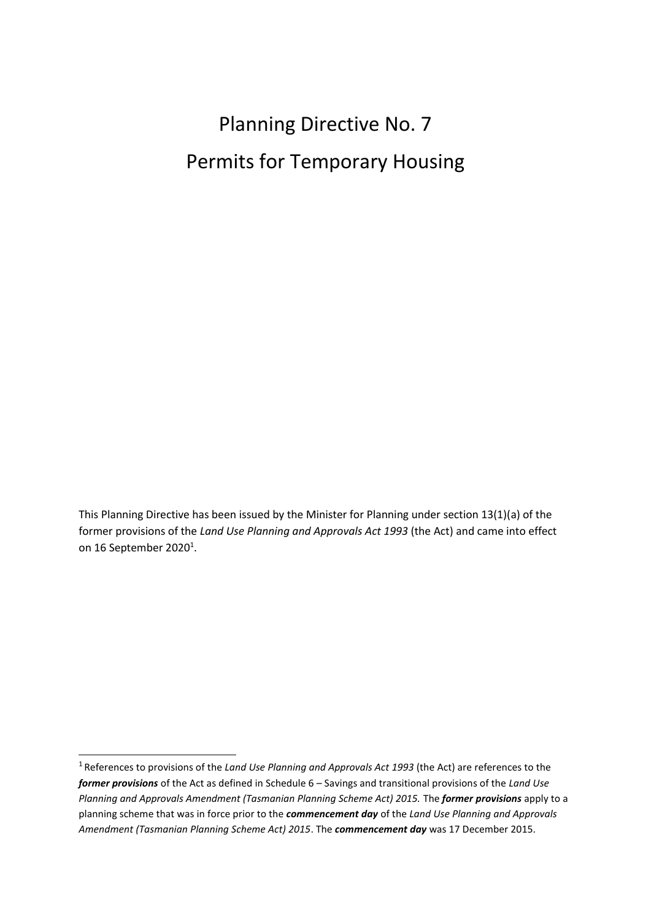# Planning Directive No. 7 Permits for Temporary Housing

This Planning Directive has been issued by the Minister for Planning under section 13(1)(a) of the former provisions of the *Land Use Planning and Approvals Act 1993* (the Act) and came into effect on 16 September 2020 $^{\rm 1}$ [.](#page-0-0)

<span id="page-0-0"></span><sup>1</sup>References to provisions of the *Land Use Planning and Approvals Act 1993* (the Act) are references to the *former provisions* of the Act as defined in Schedule 6 – Savings and transitional provisions of the *Land Use Planning and Approvals Amendment (Tasmanian Planning Scheme Act) 2015. The <i>former provisions* apply to a planning scheme that was in force prior to the *commencement day* of the *Land Use Planning and Approvals Amendment (Tasmanian Planning Scheme Act) 2015*. The *commencement day* was 17 December 2015.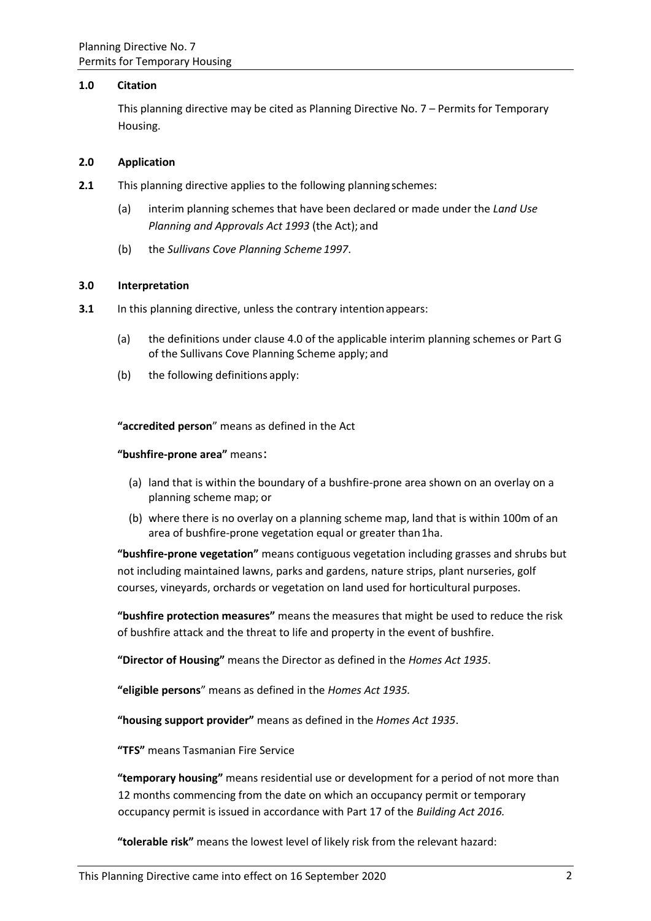## **1.0 Citation**

This planning directive may be cited as Planning Directive No. 7 – Permits for Temporary Housing.

## **2.0 Application**

- **2.1** This planning directive applies to the following planning schemes:
	- (a) interim planning schemes that have been declared or made under the *Land Use Planning and Approvals Act 1993* (the Act); and
	- (b) the *Sullivans Cove Planning Scheme 1997*.

## **3.0 Interpretation**

- **3.1** In this planning directive, unless the contrary intention appears:
	- (a) the definitions under clause 4.0 of the applicable interim planning schemes or Part G of the Sullivans Cove Planning Scheme apply; and
	- (b) the following definitions apply:

**"accredited person**" means as defined in the Act

#### **"bushfire-prone area"** means:

- (a) land that is within the boundary of a bushfire-prone area shown on an overlay on a planning scheme map; or
- (b) where there is no overlay on a planning scheme map, land that is within 100m of an area of bushfire-prone vegetation equal or greater than1ha.

**"bushfire-prone vegetation"** means contiguous vegetation including grasses and shrubs but not including maintained lawns, parks and gardens, nature strips, plant nurseries, golf courses, vineyards, orchards or vegetation on land used for horticultural purposes.

**"bushfire protection measures"** means the measures that might be used to reduce the risk of bushfire attack and the threat to life and property in the event of bushfire.

**"Director of Housing"** means the Director as defined in the *Homes Act 1935*.

**"eligible persons**" means as defined in the *Homes Act 1935.*

**"housing support provider"** means as defined in the *Homes Act 1935*.

**"TFS"** means Tasmanian Fire Service

**"temporary housing"** means residential use or development for a period of not more than 12 months commencing from the date on which an occupancy permit or temporary occupancy permit is issued in accordance with Part 17 of the *Building Act 2016.*

**"tolerable risk"** means the lowest level of likely risk from the relevant hazard: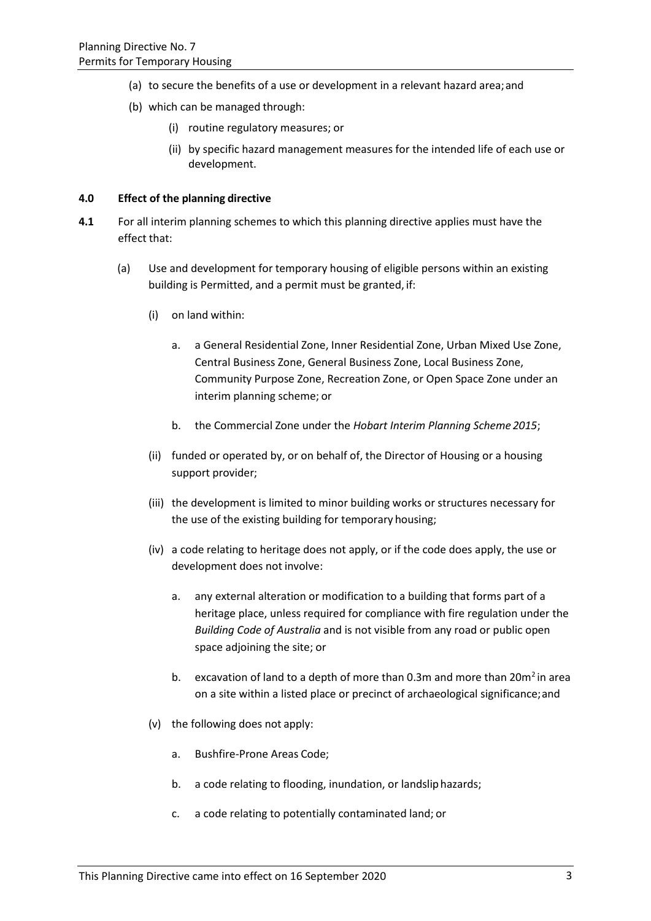- (a) to secure the benefits of a use or development in a relevant hazard area;and
- (b) which can be managed through:
	- (i) routine regulatory measures; or
	- (ii) by specific hazard management measures for the intended life of each use or development.

#### **4.0 Effect of the planning directive**

- **4.1** For all interim planning schemes to which this planning directive applies must have the effect that:
	- (a) Use and development for temporary housing of eligible persons within an existing building is Permitted, and a permit must be granted, if:
		- (i) on land within:
			- a. a General Residential Zone, Inner Residential Zone, Urban Mixed Use Zone, Central Business Zone, General Business Zone, Local Business Zone, Community Purpose Zone, Recreation Zone, or Open Space Zone under an interim planning scheme; or
			- b. the Commercial Zone under the *Hobart Interim Planning Scheme 2015*;
		- (ii) funded or operated by, or on behalf of, the Director of Housing or a housing support provider;
		- (iii) the development is limited to minor building works or structures necessary for the use of the existing building for temporary housing;
		- (iv) a code relating to heritage does not apply, or if the code does apply, the use or development does not involve:
			- a. any external alteration or modification to a building that forms part of a heritage place, unless required for compliance with fire regulation under the *Building Code of Australia* and is not visible from any road or public open space adjoining the site; or
			- b. excavation of land to a depth of more than 0.3m and more than  $20m^2$  in area on a site within a listed place or precinct of archaeological significance;and
		- (v) the following does not apply:
			- a. Bushfire-Prone Areas Code;
			- b. a code relating to flooding, inundation, or landsliphazards;
			- c. a code relating to potentially contaminated land; or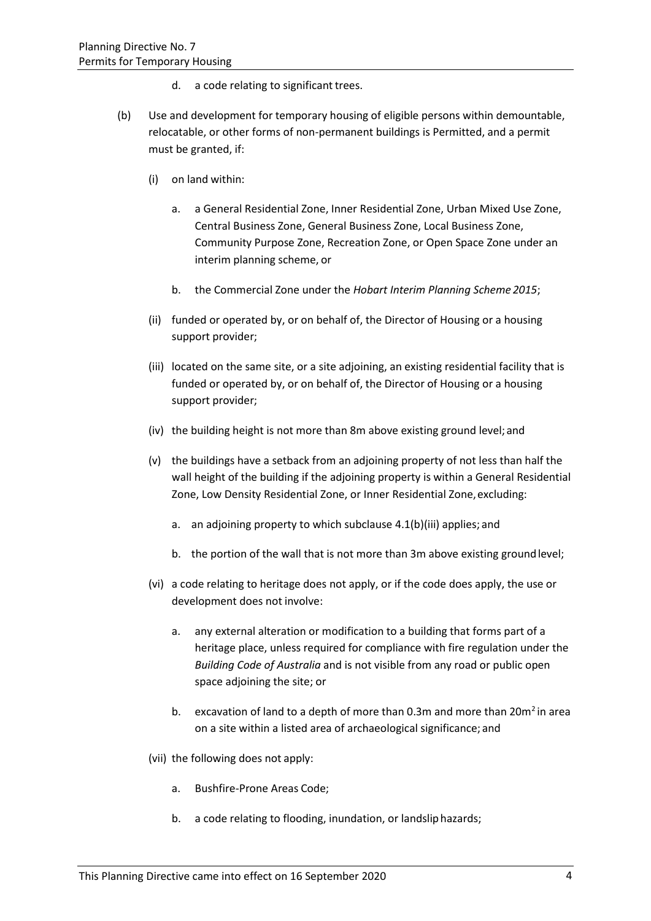- d. a code relating to significant trees.
- (b) Use and development for temporary housing of eligible persons within demountable, relocatable, or other forms of non-permanent buildings is Permitted, and a permit must be granted, if:
	- (i) on land within:
		- a. a General Residential Zone, Inner Residential Zone, Urban Mixed Use Zone, Central Business Zone, General Business Zone, Local Business Zone, Community Purpose Zone, Recreation Zone, or Open Space Zone under an interim planning scheme, or
		- b. the Commercial Zone under the *Hobart Interim Planning Scheme 2015*;
	- (ii) funded or operated by, or on behalf of, the Director of Housing or a housing support provider;
	- (iii) located on the same site, or a site adjoining, an existing residential facility that is funded or operated by, or on behalf of, the Director of Housing or a housing support provider;
	- (iv) the building height is not more than 8m above existing ground level;and
	- (v) the buildings have a setback from an adjoining property of not less than half the wall height of the building if the adjoining property is within a General Residential Zone, Low Density Residential Zone, or Inner Residential Zone, excluding:
		- a. an adjoining property to which subclause 4.1(b)(iii) applies; and
		- b. the portion of the wall that is not more than 3m above existing groundlevel;
	- (vi) a code relating to heritage does not apply, or if the code does apply, the use or development does not involve:
		- a. any external alteration or modification to a building that forms part of a heritage place, unless required for compliance with fire regulation under the *Building Code of Australia* and is not visible from any road or public open space adjoining the site; or
		- b. excavation of land to a depth of more than 0.3m and more than  $20m^2$  in area on a site within a listed area of archaeological significance; and
	- (vii) the following does not apply:
		- a. Bushfire-Prone Areas Code;
		- b. a code relating to flooding, inundation, or landsliphazards;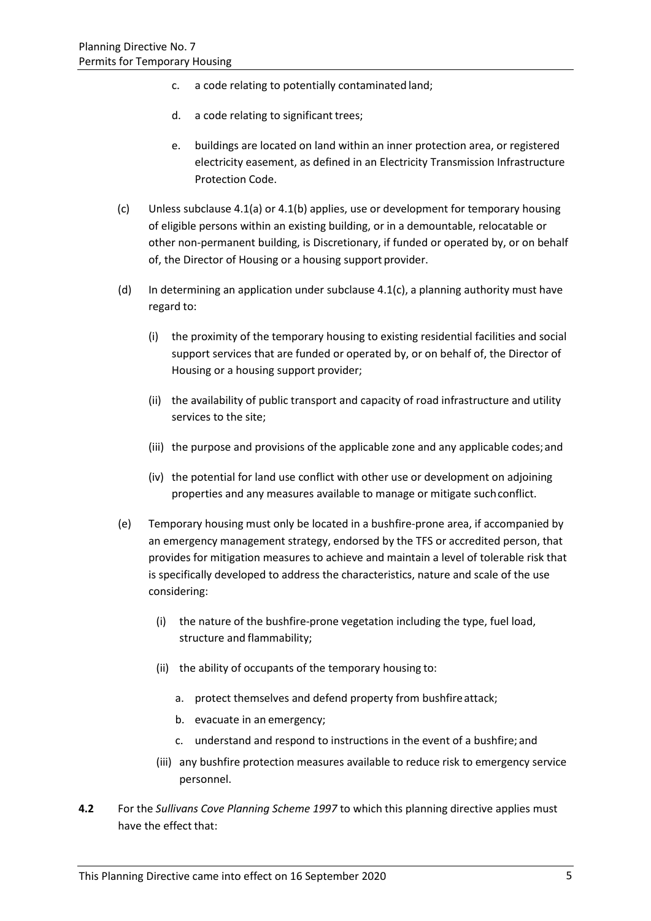- c. a code relating to potentially contaminated land;
- d. a code relating to significant trees;
- e. buildings are located on land within an inner protection area, or registered electricity easement, as defined in an Electricity Transmission Infrastructure Protection Code.
- (c) Unless subclause 4.1(a) or 4.1(b) applies, use or development for temporary housing of eligible persons within an existing building, or in a demountable, relocatable or other non-permanent building, is Discretionary, if funded or operated by, or on behalf of, the Director of Housing or a housing support provider.
- (d) In determining an application under subclause  $4.1(c)$ , a planning authority must have regard to:
	- (i) the proximity of the temporary housing to existing residential facilities and social support services that are funded or operated by, or on behalf of, the Director of Housing or a housing support provider;
	- (ii) the availability of public transport and capacity of road infrastructure and utility services to the site;
	- (iii) the purpose and provisions of the applicable zone and any applicable codes;and
	- (iv) the potential for land use conflict with other use or development on adjoining properties and any measures available to manage or mitigate suchconflict.
- (e) Temporary housing must only be located in a bushfire-prone area, if accompanied by an emergency management strategy, endorsed by th[e TFS](https://iplan.tas.gov.au/pages/plan/book.aspx?exhibit=hobips) o[r accredited person,](https://iplan.tas.gov.au/pages/plan/book.aspx?exhibit=hobips) that provides for mitigation measures to achieve and maintain a level of [tolerable risk](https://iplan.tas.gov.au/pages/plan/book.aspx?exhibit=hobips) that is specifically developed to address the characteristics, nature and scale of the use considering:
	- (i) the nature of the [bushfire-prone vegetation](https://iplan.tas.gov.au/pages/plan/book.aspx?exhibit=hobips) including the type, fuel load, structure and flammability;
	- (ii) the ability of occupants of the temporary housing to:
		- a. protect themselves and defend property from bushfireattack;
		- b. evacuate in an emergency;
		- c. understand and respond to instructions in the event of a bushfire; and
	- (iii) an[y bushfire protection measures](https://iplan.tas.gov.au/pages/plan/book.aspx?exhibit=hobips) available to reduce risk to emergency service personnel.
- **4.2** For the *Sullivans Cove Planning Scheme 1997* to which this planning directive applies must have the effect that: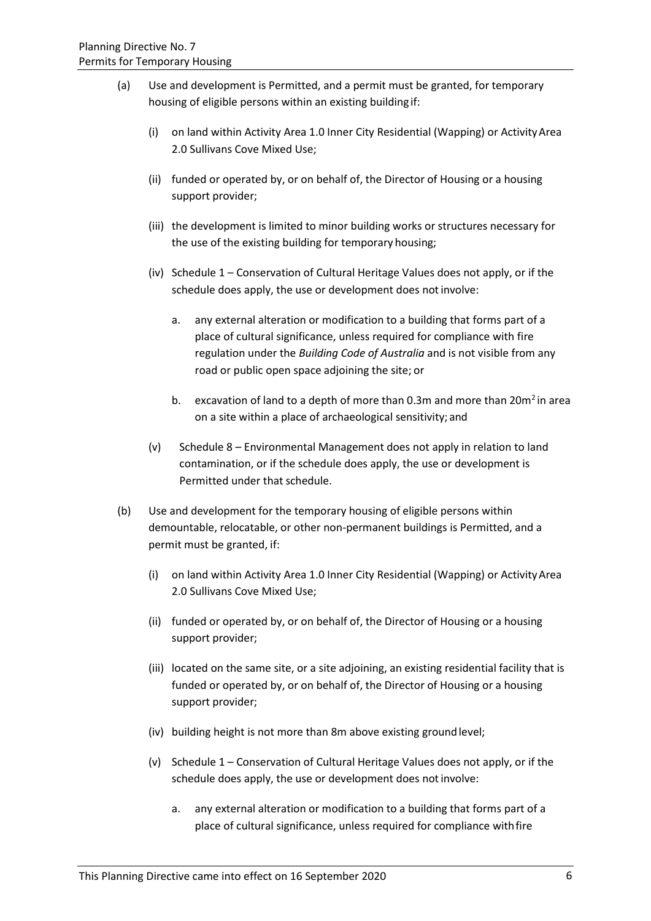- (a) Use and development is Permitted, and a permit must be granted, for temporary housing of eligible persons within an existing building if:
	- (i) on land within Activity Area 1.0 Inner City Residential (Wapping) or ActivityArea 2.0 Sullivans Cove Mixed Use;
	- (ii) funded or operated by, or on behalf of, the Director of Housing or a housing support provider;
	- (iii) the development is limited to minor building works or structures necessary for the use of the existing building for temporary housing;
	- (iv) Schedule 1 Conservation of Cultural Heritage Values does not apply, or if the schedule does apply, the use or development does not involve:
		- a. any external alteration or modification to a building that forms part of a place of cultural significance, unless required for compliance with fire regulation under the *Building Code of Australia* and is not visible from any road or public open space adjoining the site; or
		- b. excavation of land to a depth of more than 0.3m and more than  $20m^2$  in area on a site within a place of archaeological sensitivity; and
	- (v) Schedule 8 Environmental Management does not apply in relation to land contamination, or if the schedule does apply, the use or development is Permitted under that schedule.
- (b) Use and development for the temporary housing of eligible persons within demountable, relocatable, or other non-permanent buildings is Permitted, and a permit must be granted, if:
	- (i) on land within Activity Area 1.0 Inner City Residential (Wapping) or ActivityArea 2.0 Sullivans Cove Mixed Use;
	- (ii) funded or operated by, or on behalf of, the Director of Housing or a housing support provider;
	- (iii) located on the same site, or a site adjoining, an existing residential facility that is funded or operated by, or on behalf of, the Director of Housing or a housing support provider;
	- (iv) building height is not more than 8m above existing groundlevel;
	- (v) Schedule 1 Conservation of Cultural Heritage Values does not apply, or if the schedule does apply, the use or development does notinvolve:
		- a. any external alteration or modification to a building that forms part of a place of cultural significance, unless required for compliance withfire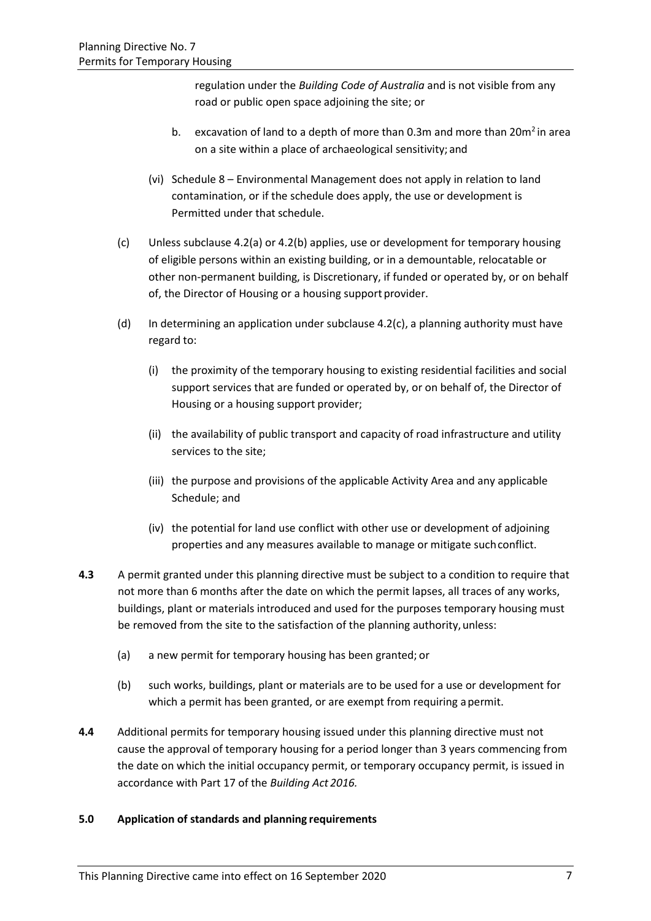regulation under the *Building Code of Australia* and is not visible from any road or public open space adjoining the site; or

- b. excavation of land to a depth of more than 0.3m and more than  $20m^2$  in area on a site within a place of archaeological sensitivity; and
- (vi) Schedule 8 Environmental Management does not apply in relation to land contamination, or if the schedule does apply, the use or development is Permitted under that schedule.
- (c) Unless subclause 4.2(a) or 4.2(b) applies, use or development for temporary housing of eligible persons within an existing building, or in a demountable, relocatable or other non-permanent building, is Discretionary, if funded or operated by, or on behalf of, the Director of Housing or a housing support provider.
- (d) In determining an application under subclause  $4.2(c)$ , a planning authority must have regard to:
	- (i) the proximity of the temporary housing to existing residential facilities and social support services that are funded or operated by, or on behalf of, the Director of Housing or a housing support provider;
	- (ii) the availability of public transport and capacity of road infrastructure and utility services to the site;
	- (iii) the purpose and provisions of the applicable Activity Area and any applicable Schedule; and
	- (iv) the potential for land use conflict with other use or development of adjoining properties and any measures available to manage or mitigate suchconflict.
- **4.3** A permit granted under this planning directive must be subject to a condition to require that not more than 6 months after the date on which the permit lapses, all traces of any works, buildings, plant or materials introduced and used for the purposes temporary housing must be removed from the site to the satisfaction of the planning authority, unless:
	- (a) a new permit for temporary housing has been granted; or
	- (b) such works, buildings, plant or materials are to be used for a use or development for which a permit has been granted, or are exempt from requiring apermit.
- **4.4** Additional permits for temporary housing issued under this planning directive must not cause the approval of temporary housing for a period longer than 3 years commencing from the date on which the initial occupancy permit, or temporary occupancy permit, is issued in accordance with Part 17 of the *Building Act 2016.*

# **5.0 Application of standards and planning requirements**